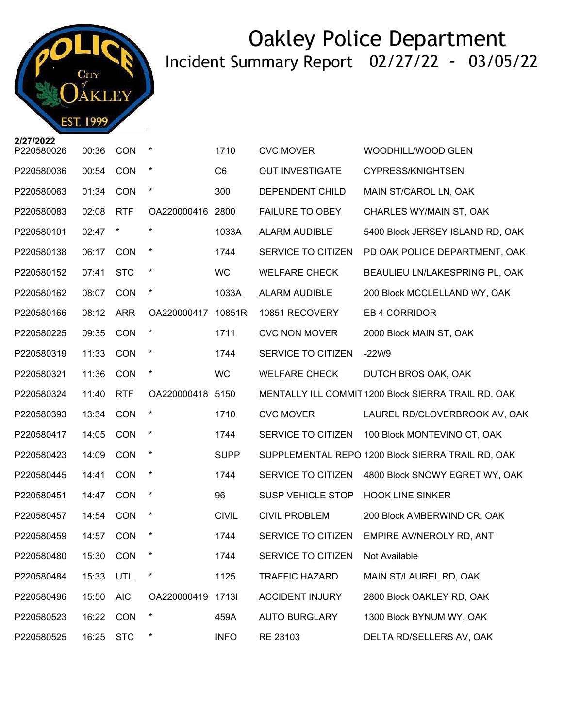

| P220580026 | 00:36 | <b>CON</b> | $\star$          | 1710           | <b>CVC MOVER</b>         | WOODHILL/WOOD GLEN                                  |
|------------|-------|------------|------------------|----------------|--------------------------|-----------------------------------------------------|
| P220580036 | 00:54 | CON        | $\star$          | C <sub>6</sub> | <b>OUT INVESTIGATE</b>   | <b>CYPRESS/KNIGHTSEN</b>                            |
| P220580063 | 01:34 | CON        | $\star$          | 300            | DEPENDENT CHILD          | MAIN ST/CAROL LN, OAK                               |
| P220580083 | 02:08 | <b>RTF</b> | OA220000416 2800 |                | <b>FAILURE TO OBEY</b>   | CHARLES WY/MAIN ST, OAK                             |
| P220580101 | 02:47 | $\star$    |                  | 1033A          | <b>ALARM AUDIBLE</b>     | 5400 Block JERSEY ISLAND RD, OAK                    |
| P220580138 | 06:17 | <b>CON</b> | $\star$          | 1744           | SERVICE TO CITIZEN       | PD OAK POLICE DEPARTMENT, OAK                       |
| P220580152 | 07:41 | <b>STC</b> | $\star$          | <b>WC</b>      | <b>WELFARE CHECK</b>     | BEAULIEU LN/LAKESPRING PL, OAK                      |
| P220580162 | 08:07 | CON        | $\star$          | 1033A          | <b>ALARM AUDIBLE</b>     | 200 Block MCCLELLAND WY, OAK                        |
| P220580166 | 08:12 | <b>ARR</b> | OA220000417      | 10851R         | 10851 RECOVERY           | EB 4 CORRIDOR                                       |
| P220580225 | 09:35 | CON        | $\ast$           | 1711           | <b>CVC NON MOVER</b>     | 2000 Block MAIN ST, OAK                             |
| P220580319 | 11:33 | <b>CON</b> | $\star$          | 1744           | SERVICE TO CITIZEN       | $-22W9$                                             |
| P220580321 | 11:36 | CON        | $\star$          | <b>WC</b>      | <b>WELFARE CHECK</b>     | DUTCH BROS OAK, OAK                                 |
| P220580324 | 11:40 | <b>RTF</b> | OA220000418 5150 |                |                          | MENTALLY ILL COMMIT 1200 Block SIERRA TRAIL RD, OAK |
| P220580393 | 13:34 | <b>CON</b> | $\star$          | 1710           | <b>CVC MOVER</b>         | LAUREL RD/CLOVERBROOK AV, OAK                       |
| P220580417 | 14:05 | <b>CON</b> | $\star$          | 1744           | SERVICE TO CITIZEN       | 100 Block MONTEVINO CT, OAK                         |
| P220580423 | 14:09 | <b>CON</b> | $\star$          | <b>SUPP</b>    |                          | SUPPLEMENTAL REPO 1200 Block SIERRA TRAIL RD, OAK   |
| P220580445 | 14:41 | <b>CON</b> | $\star$          | 1744           | SERVICE TO CITIZEN       | 4800 Block SNOWY EGRET WY, OAK                      |
| P220580451 | 14:47 | CON        | $\star$          | 96             | <b>SUSP VEHICLE STOP</b> | <b>HOOK LINE SINKER</b>                             |
| P220580457 | 14:54 | CON        | $\star$          | <b>CIVIL</b>   | <b>CIVIL PROBLEM</b>     | 200 Block AMBERWIND CR, OAK                         |
| P220580459 | 14:57 | <b>CON</b> | $\ast$           | 1744           | SERVICE TO CITIZEN       | EMPIRE AV/NEROLY RD, ANT                            |
| P220580480 | 15:30 | <b>CON</b> | $\star$          | 1744           | SERVICE TO CITIZEN       | Not Available                                       |
| P220580484 | 15:33 | UTL        |                  | 1125           | <b>TRAFFIC HAZARD</b>    | MAIN ST/LAUREL RD, OAK                              |
| P220580496 | 15:50 | <b>AIC</b> | OA220000419      | 17131          | <b>ACCIDENT INJURY</b>   | 2800 Block OAKLEY RD, OAK                           |
| P220580523 | 16:22 | <b>CON</b> | $\star$          | 459A           | <b>AUTO BURGLARY</b>     | 1300 Block BYNUM WY, OAK                            |
| P220580525 | 16:25 | <b>STC</b> | $\ast$           | <b>INFO</b>    | RE 23103                 | DELTA RD/SELLERS AV, OAK                            |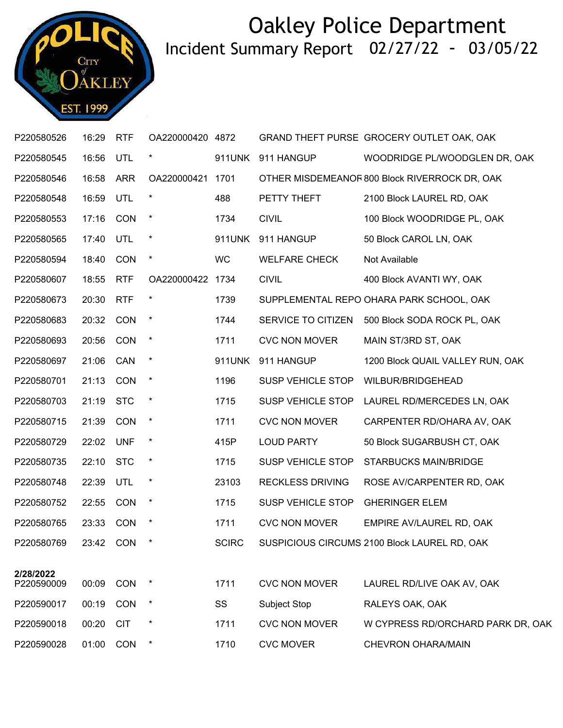

| P220580526 | 16:29     | <b>RTF</b>  | OA220000420 4872 |               |                          | GRAND THEFT PURSE GROCERY OUTLET OAK, OAK     |
|------------|-----------|-------------|------------------|---------------|--------------------------|-----------------------------------------------|
| P220580545 | 16:56     | UTL         | $\star$          | 911UNK        | 911 HANGUP               | WOODRIDGE PL/WOODGLEN DR, OAK                 |
| P220580546 | 16:58     | <b>ARR</b>  | OA220000421      | 1701          |                          | OTHER MISDEMEANOF 800 Block RIVERROCK DR, OAK |
| P220580548 | 16:59     | UTL         |                  | 488           | PETTY THEFT              | 2100 Block LAUREL RD, OAK                     |
| P220580553 | 17:16     | <b>CON</b>  |                  | 1734          | <b>CIVIL</b>             | 100 Block WOODRIDGE PL, OAK                   |
| P220580565 | 17:40     | UTL         | $\ast$           | 911UNK        | 911 HANGUP               | 50 Block CAROL LN, OAK                        |
| P220580594 | 18:40     | <b>CON</b>  | $\star$          | WC            | <b>WELFARE CHECK</b>     | Not Available                                 |
| P220580607 | 18:55     | <b>RTF</b>  | OA220000422 1734 |               | <b>CIVIL</b>             | 400 Block AVANTI WY, OAK                      |
| P220580673 | 20:30     | <b>RTF</b>  | $\star$          | 1739          |                          | SUPPLEMENTAL REPO OHARA PARK SCHOOL, OAK      |
| P220580683 | 20:32     | CON         | $\ast$           | 1744          | SERVICE TO CITIZEN       | 500 Block SODA ROCK PL, OAK                   |
| P220580693 | 20:56     | CON         | $\ast$           | 1711          | <b>CVC NON MOVER</b>     | MAIN ST/3RD ST, OAK                           |
| P220580697 | 21:06     | CAN         | $\ast$           | <b>911UNK</b> | 911 HANGUP               | 1200 Block QUAIL VALLEY RUN, OAK              |
| P220580701 | 21:13     | <b>CON</b>  | $\star$          | 1196          | <b>SUSP VEHICLE STOP</b> | WILBUR/BRIDGEHEAD                             |
| P220580703 | 21:19 STC |             | $\star$          | 1715          | SUSP VEHICLE STOP        | LAUREL RD/MERCEDES LN, OAK                    |
| P220580715 | 21:39     | <b>CON</b>  | $\star$          | 1711          | <b>CVC NON MOVER</b>     | CARPENTER RD/OHARA AV, OAK                    |
| P220580729 | 22:02     | <b>UNF</b>  | $\ast$           | 415P          | <b>LOUD PARTY</b>        | 50 Block SUGARBUSH CT, OAK                    |
| P220580735 | 22:10 STC |             | $\star$          | 1715          | <b>SUSP VEHICLE STOP</b> | <b>STARBUCKS MAIN/BRIDGE</b>                  |
| P220580748 | 22:39     | UTL         | $\star$          | 23103         | <b>RECKLESS DRIVING</b>  | ROSE AV/CARPENTER RD, OAK                     |
| P220580752 | 22:55     | <b>CON</b>  | $\ast$           | 1715          | SUSP VEHICLE STOP        | <b>GHERINGER ELEM</b>                         |
| P220580765 | 23:33 CON |             | $\star$          | 1711          | <b>CVC NON MOVER</b>     | EMPIRE AV/LAUREL RD, OAK                      |
| P220580769 |           | 23:42 CON * |                  | <b>SCIRC</b>  |                          | SUSPICIOUS CIRCUMS 2100 Block LAUREL RD, OAK  |
| 2/28/2022  |           |             |                  |               |                          |                                               |
| P220590009 | 00:09     | CON         |                  | 1711          | <b>CVC NON MOVER</b>     | LAUREL RD/LIVE OAK AV, OAK                    |
| P220590017 | 00:19     | <b>CON</b>  | $\ast$           | SS            | Subject Stop             | RALEYS OAK, OAK                               |
| P220590018 | 00:20     | <b>CIT</b>  |                  | 1711          | <b>CVC NON MOVER</b>     | W CYPRESS RD/ORCHARD PARK DR, OAK             |
| P220590028 | 01:00     | <b>CON</b>  | $\ast$           | 1710          | <b>CVC MOVER</b>         | CHEVRON OHARA/MAIN                            |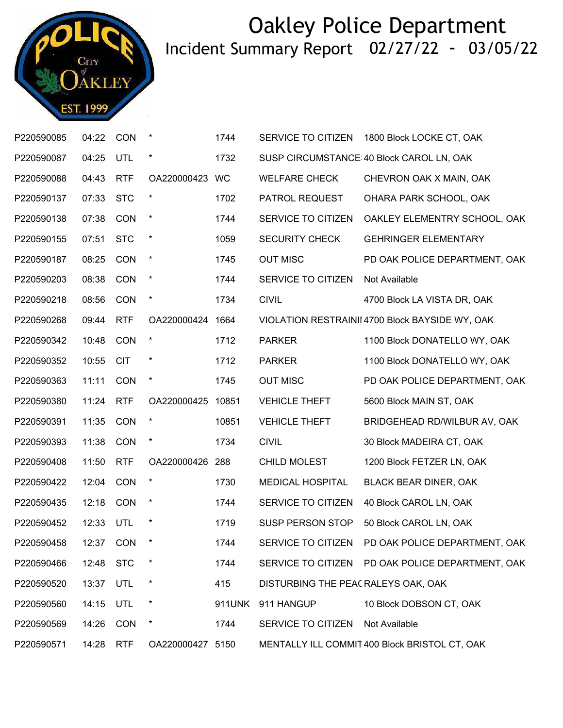

| P220590085 | 04:22     | <b>CON</b> | $\star$          | 1744   | SERVICE TO CITIZEN                  | 1800 Block LOCKE CT, OAK                         |
|------------|-----------|------------|------------------|--------|-------------------------------------|--------------------------------------------------|
| P220590087 | 04:25     | UTL        | $\ast$           | 1732   |                                     | SUSP CIRCUMSTANCE 40 Block CAROL LN, OAK         |
| P220590088 | 04:43     | <b>RTF</b> | OA220000423      | WC     | <b>WELFARE CHECK</b>                | CHEVRON OAK X MAIN, OAK                          |
| P220590137 | 07:33     | <b>STC</b> | $\ast$           | 1702   | PATROL REQUEST                      | OHARA PARK SCHOOL, OAK                           |
| P220590138 | 07:38     | <b>CON</b> | $\ast$           | 1744   | SERVICE TO CITIZEN                  | OAKLEY ELEMENTRY SCHOOL, OAK                     |
| P220590155 | 07:51     | <b>STC</b> | $\ast$           | 1059   | SECURITY CHECK                      | <b>GEHRINGER ELEMENTARY</b>                      |
| P220590187 | 08:25     | CON        | $\ast$           | 1745   | <b>OUT MISC</b>                     | PD OAK POLICE DEPARTMENT, OAK                    |
| P220590203 | 08:38     | CON        | $\star$          | 1744   | SERVICE TO CITIZEN                  | Not Available                                    |
| P220590218 | 08:56     | <b>CON</b> | $\ast$           | 1734   | <b>CIVIL</b>                        | 4700 Block LA VISTA DR, OAK                      |
| P220590268 | 09:44     | <b>RTF</b> | OA220000424      | 1664   |                                     | VIOLATION RESTRAINII 4700 Block BAYSIDE WY, OAK  |
| P220590342 | 10:48     | CON        | $\star$          | 1712   | <b>PARKER</b>                       | 1100 Block DONATELLO WY, OAK                     |
| P220590352 | 10:55     | <b>CIT</b> | $\ast$           | 1712   | <b>PARKER</b>                       | 1100 Block DONATELLO WY, OAK                     |
| P220590363 | 11:11     | <b>CON</b> | $\ast$           | 1745   | <b>OUT MISC</b>                     | PD OAK POLICE DEPARTMENT, OAK                    |
| P220590380 | 11:24     | <b>RTF</b> | OA220000425      | 10851  | <b>VEHICLE THEFT</b>                | 5600 Block MAIN ST, OAK                          |
| P220590391 | 11:35     | <b>CON</b> | $\star$          | 10851  | <b>VEHICLE THEFT</b>                | BRIDGEHEAD RD/WILBUR AV, OAK                     |
| P220590393 | 11:38     | <b>CON</b> | $\ast$           | 1734   | <b>CIVIL</b>                        | 30 Block MADEIRA CT, OAK                         |
| P220590408 | 11:50     | <b>RTF</b> | OA220000426      | 288    | <b>CHILD MOLEST</b>                 | 1200 Block FETZER LN, OAK                        |
| P220590422 | 12:04     | <b>CON</b> | $\star$          | 1730   | <b>MEDICAL HOSPITAL</b>             | BLACK BEAR DINER, OAK                            |
| P220590435 | 12:18     | CON        | $\ast$           | 1744   | SERVICE TO CITIZEN                  | 40 Block CAROL LN, OAK                           |
| P220590452 | 12:33     | UTL        | $\ast$           | 1719   | SUSP PERSON STOP                    | 50 Block CAROL LN, OAK                           |
| P220590458 | 12:37     | <b>CON</b> | $\ast$           | 1744   | SERVICE TO CITIZEN                  | PD OAK POLICE DEPARTMENT, OAK                    |
| P220590466 | 12:48 STC |            | $\ast$           | 1744   |                                     | SERVICE TO CITIZEN PD OAK POLICE DEPARTMENT, OAK |
| P220590520 | 13:37     | UTL        | $\ast$           | 415    | DISTURBING THE PEAC RALEYS OAK, OAK |                                                  |
| P220590560 | 14:15     | UTL        | $\ast$           | 911UNK | 911 HANGUP                          | 10 Block DOBSON CT, OAK                          |
| P220590569 | 14:26     | <b>CON</b> | $\ast$           | 1744   | SERVICE TO CITIZEN                  | Not Available                                    |
| P220590571 | 14:28     | <b>RTF</b> | OA220000427 5150 |        |                                     | MENTALLY ILL COMMIT 400 Block BRISTOL CT, OAK    |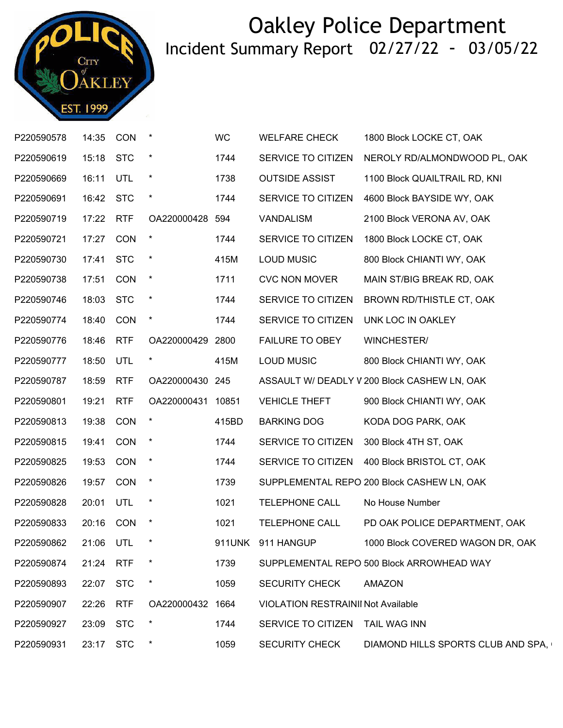

| P220590578 | 14:35 CON |            |                   | <b>WC</b> | <b>WELFARE CHECK</b>                      | 1800 Block LOCKE CT, OAK                     |
|------------|-----------|------------|-------------------|-----------|-------------------------------------------|----------------------------------------------|
| P220590619 | 15:18 STC |            | $\star$           | 1744      | SERVICE TO CITIZEN                        | NEROLY RD/ALMONDWOOD PL, OAK                 |
| P220590669 | 16:11     | UTL        | $^\star$          | 1738      | <b>OUTSIDE ASSIST</b>                     | 1100 Block QUAILTRAIL RD, KNI                |
| P220590691 | 16:42 STC |            | $\star$           | 1744      | SERVICE TO CITIZEN                        | 4600 Block BAYSIDE WY, OAK                   |
| P220590719 | 17:22 RTF |            | OA220000428 594   |           | VANDALISM                                 | 2100 Block VERONA AV, OAK                    |
| P220590721 | 17:27     | CON        | $\star$           | 1744      | SERVICE TO CITIZEN                        | 1800 Block LOCKE CT, OAK                     |
| P220590730 | 17:41 STC |            | $\star$           | 415M      | <b>LOUD MUSIC</b>                         | 800 Block CHIANTI WY, OAK                    |
| P220590738 | 17:51     | <b>CON</b> | $\star$           | 1711      | <b>CVC NON MOVER</b>                      | MAIN ST/BIG BREAK RD, OAK                    |
| P220590746 | 18:03 STC |            | $\ast$            | 1744      | SERVICE TO CITIZEN                        | BROWN RD/THISTLE CT, OAK                     |
| P220590774 | 18:40 CON |            | $\star$           | 1744      | SERVICE TO CITIZEN                        | UNK LOC IN OAKLEY                            |
| P220590776 | 18:46     | <b>RTF</b> | OA220000429 2800  |           | <b>FAILURE TO OBEY</b>                    | WINCHESTER/                                  |
| P220590777 | 18:50     | UTL        | $\star$           | 415M      | <b>LOUD MUSIC</b>                         | 800 Block CHIANTI WY, OAK                    |
| P220590787 | 18:59     | <b>RTF</b> | OA220000430 245   |           |                                           | ASSAULT W/ DEADLY V 200 Block CASHEW LN, OAK |
| P220590801 | 19:21     | <b>RTF</b> | OA220000431 10851 |           | <b>VEHICLE THEFT</b>                      | 900 Block CHIANTI WY, OAK                    |
| P220590813 | 19:38     | CON        |                   | 415BD     | <b>BARKING DOG</b>                        | KODA DOG PARK, OAK                           |
| P220590815 | 19:41     | CON        | $\star$           | 1744      | SERVICE TO CITIZEN                        | 300 Block 4TH ST, OAK                        |
| P220590825 | 19:53     | CON        | $\star$           | 1744      | SERVICE TO CITIZEN                        | 400 Block BRISTOL CT, OAK                    |
| P220590826 | 19:57     | CON        | $\star$           | 1739      |                                           | SUPPLEMENTAL REPO 200 Block CASHEW LN, OAK   |
| P220590828 | 20:01     | <b>UTL</b> | $\star$           | 1021      | <b>TELEPHONE CALL</b>                     | No House Number                              |
| P220590833 | 20:16 CON |            | $\star$           | 1021      | TELEPHONE CALL                            | PD OAK POLICE DEPARTMENT, OAK                |
| P220590862 |           | 21:06 UTL  | $\star$           |           | 911UNK 911 HANGUP                         | 1000 Block COVERED WAGON DR, OAK             |
| P220590874 | 21:24     | <b>RTF</b> |                   | 1739      |                                           | SUPPLEMENTAL REPO 500 Block ARROWHEAD WAY    |
| P220590893 | 22:07     | <b>STC</b> | $\ast$            | 1059      | <b>SECURITY CHECK</b>                     | <b>AMAZON</b>                                |
| P220590907 | 22:26     | <b>RTF</b> | OA220000432 1664  |           | <b>VIOLATION RESTRAINII Not Available</b> |                                              |
| P220590927 | 23:09     | <b>STC</b> |                   | 1744      | SERVICE TO CITIZEN                        | <b>TAIL WAG INN</b>                          |
| P220590931 | 23:17     | <b>STC</b> | $\ast$            | 1059      | <b>SECURITY CHECK</b>                     | DIAMOND HILLS SPORTS CLUB AND SPA,           |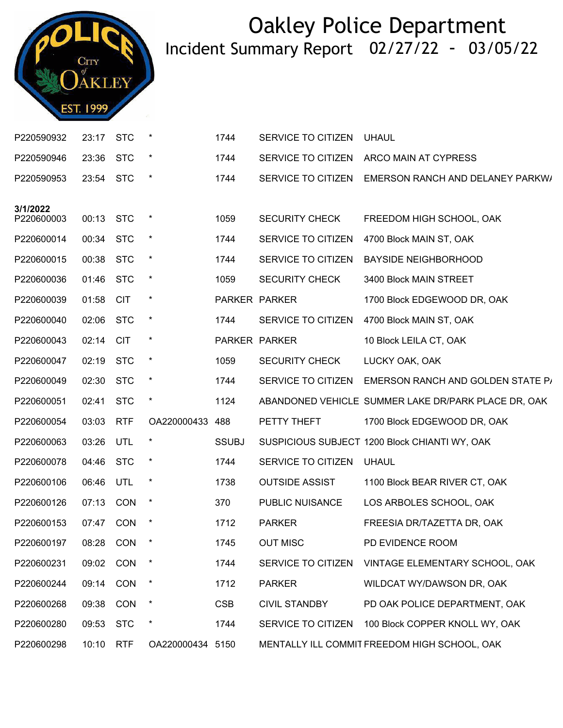

| P220590932             | 23:17 | <b>STC</b> | $\star$          | 1744          | SERVICE TO CITIZEN    | <b>UHAUL</b>                                        |
|------------------------|-------|------------|------------------|---------------|-----------------------|-----------------------------------------------------|
| P220590946             | 23:36 | <b>STC</b> | $\star$          | 1744          | SERVICE TO CITIZEN    | ARCO MAIN AT CYPRESS                                |
| P220590953             | 23:54 | <b>STC</b> | $\star$          | 1744          | SERVICE TO CITIZEN    | EMERSON RANCH AND DELANEY PARKW/                    |
|                        |       |            |                  |               |                       |                                                     |
| 3/1/2022<br>P220600003 | 00:13 | <b>STC</b> | $\ast$           | 1059          | <b>SECURITY CHECK</b> | FREEDOM HIGH SCHOOL, OAK                            |
| P220600014             | 00:34 | <b>STC</b> | $\star$          | 1744          | SERVICE TO CITIZEN    | 4700 Block MAIN ST, OAK                             |
| P220600015             | 00:38 | <b>STC</b> | $\ast$           | 1744          | SERVICE TO CITIZEN    | <b>BAYSIDE NEIGHBORHOOD</b>                         |
| P220600036             | 01:46 | <b>STC</b> | $\star$          | 1059          | <b>SECURITY CHECK</b> | 3400 Block MAIN STREET                              |
| P220600039             | 01:58 | <b>CIT</b> | $\star$          | PARKER PARKER |                       | 1700 Block EDGEWOOD DR, OAK                         |
| P220600040             | 02:06 | <b>STC</b> | $\star$          | 1744          | SERVICE TO CITIZEN    | 4700 Block MAIN ST, OAK                             |
| P220600043             | 02:14 | <b>CIT</b> | $\ast$           |               | PARKER PARKER         | 10 Block LEILA CT, OAK                              |
| P220600047             | 02:19 | <b>STC</b> | $\star$          | 1059          | <b>SECURITY CHECK</b> | LUCKY OAK, OAK                                      |
| P220600049             | 02:30 | <b>STC</b> | $\ast$           | 1744          | SERVICE TO CITIZEN    | EMERSON RANCH AND GOLDEN STATE P/                   |
| P220600051             | 02:41 | <b>STC</b> | $\star$          | 1124          |                       | ABANDONED VEHICLE SUMMER LAKE DR/PARK PLACE DR, OAK |
| P220600054             | 03:03 | <b>RTF</b> | OA220000433      | 488           | PETTY THEFT           | 1700 Block EDGEWOOD DR, OAK                         |
| P220600063             | 03:26 | UTL        | $\star$          | <b>SSUBJ</b>  |                       | SUSPICIOUS SUBJECT 1200 Block CHIANTI WY, OAK       |
| P220600078             | 04:46 | <b>STC</b> | $\star$          | 1744          | SERVICE TO CITIZEN    | <b>UHAUL</b>                                        |
| P220600106             | 06:46 | UTL        | $\ast$           | 1738          | <b>OUTSIDE ASSIST</b> | 1100 Block BEAR RIVER CT, OAK                       |
| P220600126             | 07:13 | <b>CON</b> | $\star$          | 370           | PUBLIC NUISANCE       | LOS ARBOLES SCHOOL, OAK                             |
| P220600153             | 07:47 | CON        | $\ast$           | 1712          | <b>PARKER</b>         | FREESIA DR/TAZETTA DR, OAK                          |
| P220600197             | 08:28 | CON        | $\ast$           | 1745          | <b>OUT MISC</b>       | PD EVIDENCE ROOM                                    |
| P220600231             | 09:02 | <b>CON</b> |                  | 1744          | SERVICE TO CITIZEN    | VINTAGE ELEMENTARY SCHOOL, OAK                      |
| P220600244             | 09:14 | CON        | $\ast$           | 1712          | <b>PARKER</b>         | WILDCAT WY/DAWSON DR, OAK                           |
| P220600268             | 09:38 | CON        | $\star$          | <b>CSB</b>    | <b>CIVIL STANDBY</b>  | PD OAK POLICE DEPARTMENT, OAK                       |
| P220600280             | 09:53 | <b>STC</b> | $\ast$           | 1744          | SERVICE TO CITIZEN    | 100 Block COPPER KNOLL WY, OAK                      |
| P220600298             | 10:10 | <b>RTF</b> | OA220000434 5150 |               |                       | MENTALLY ILL COMMIT FREEDOM HIGH SCHOOL, OAK        |
|                        |       |            |                  |               |                       |                                                     |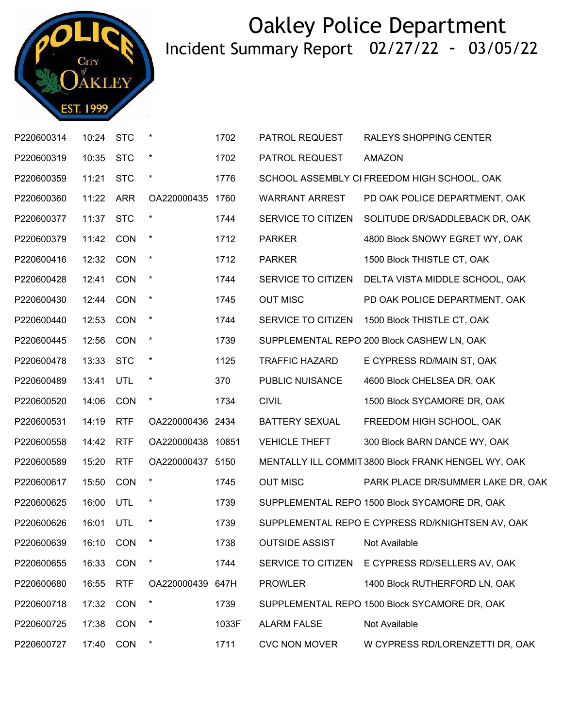

| P220600314 | 10:24     | <b>STC</b> | $\star$           | 1702  | PATROL REQUEST        | RALEYS SHOPPING CENTER                              |
|------------|-----------|------------|-------------------|-------|-----------------------|-----------------------------------------------------|
| P220600319 | 10:35     | <b>STC</b> | $\star$           | 1702  | PATROL REQUEST        | <b>AMAZON</b>                                       |
| P220600359 | 11:21     | <b>STC</b> | $^{\star}$        | 1776  |                       | SCHOOL ASSEMBLY CI FREEDOM HIGH SCHOOL, OAK         |
| P220600360 | 11:22     | <b>ARR</b> | OA220000435       | 1760  | <b>WARRANT ARREST</b> | PD OAK POLICE DEPARTMENT, OAK                       |
| P220600377 | 11:37     | <b>STC</b> | $\ast$            | 1744  | SERVICE TO CITIZEN    | SOLITUDE DR/SADDLEBACK DR, OAK                      |
| P220600379 | 11:42 CON |            | $\star$           | 1712  | <b>PARKER</b>         | 4800 Block SNOWY EGRET WY, OAK                      |
| P220600416 | 12:32     | CON        | $\star$           | 1712  | <b>PARKER</b>         | 1500 Block THISTLE CT, OAK                          |
| P220600428 | 12:41     | CON        | $\star$           | 1744  | SERVICE TO CITIZEN    | DELTA VISTA MIDDLE SCHOOL, OAK                      |
| P220600430 | 12:44     | CON        | $\star$           | 1745  | <b>OUT MISC</b>       | PD OAK POLICE DEPARTMENT, OAK                       |
| P220600440 | 12:53     | CON        | $\ast$            | 1744  | SERVICE TO CITIZEN    | 1500 Block THISTLE CT, OAK                          |
| P220600445 | 12:56     | <b>CON</b> | $\star$           | 1739  |                       | SUPPLEMENTAL REPO 200 Block CASHEW LN, OAK          |
| P220600478 | 13:33     | <b>STC</b> | $\star$           | 1125  | <b>TRAFFIC HAZARD</b> | E CYPRESS RD/MAIN ST, OAK                           |
| P220600489 | 13:41     | UTL        | $\star$           | 370   | PUBLIC NUISANCE       | 4600 Block CHELSEA DR, OAK                          |
| P220600520 | 14:06     | <b>CON</b> | $\star$           | 1734  | <b>CIVIL</b>          | 1500 Block SYCAMORE DR, OAK                         |
| P220600531 | 14:19     | <b>RTF</b> | OA220000436 2434  |       | <b>BATTERY SEXUAL</b> | FREEDOM HIGH SCHOOL, OAK                            |
| P220600558 | 14:42     | <b>RTF</b> | OA220000438 10851 |       | <b>VEHICLE THEFT</b>  | 300 Block BARN DANCE WY, OAK                        |
| P220600589 | 15:20     | <b>RTF</b> | OA220000437 5150  |       |                       | MENTALLY ILL COMMIT 3800 Block FRANK HENGEL WY, OAK |
| P220600617 | 15:50     | CON        | $\star$           | 1745  | <b>OUT MISC</b>       | PARK PLACE DR/SUMMER LAKE DR, OAK                   |
| P220600625 | 16:00     | UTL        | $\star$           | 1739  |                       | SUPPLEMENTAL REPO 1500 Block SYCAMORE DR, OAK       |
| P220600626 | 16:01     | UTL        | $\ast$            | 1739  |                       | SUPPLEMENTAL REPO E CYPRESS RD/KNIGHTSEN AV, OAK    |
| P220600639 |           | 16:10 CON  | $\star$           | 1738  | <b>OUTSIDE ASSIST</b> | Not Available                                       |
| P220600655 | 16:33     | <b>CON</b> | $\ast$            | 1744  | SERVICE TO CITIZEN    | E CYPRESS RD/SELLERS AV, OAK                        |
| P220600680 | 16:55     | <b>RTF</b> | OA220000439 647H  |       | <b>PROWLER</b>        | 1400 Block RUTHERFORD LN, OAK                       |
| P220600718 | 17:32     | CON        | *                 | 1739  |                       | SUPPLEMENTAL REPO 1500 Block SYCAMORE DR, OAK       |
| P220600725 | 17:38     | CON        | $\ast$            | 1033F | <b>ALARM FALSE</b>    | Not Available                                       |
| P220600727 | 17:40     | CON        | $\ast$            | 1711  | <b>CVC NON MOVER</b>  | W CYPRESS RD/LORENZETTI DR, OAK                     |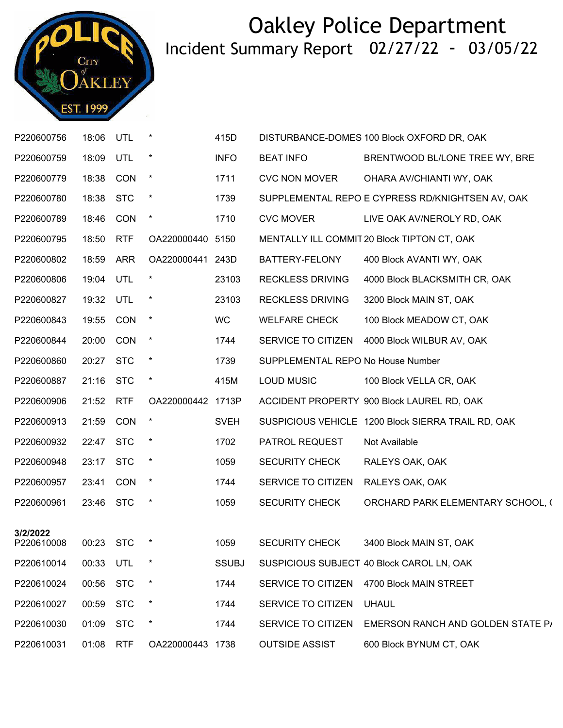

| P220600756             | 18:06     | UTL        | $\star$           | 415D         |                                   | DISTURBANCE-DOMES 100 Block OXFORD DR, OAK         |
|------------------------|-----------|------------|-------------------|--------------|-----------------------------------|----------------------------------------------------|
| P220600759             | 18:09     | UTL        |                   | <b>INFO</b>  | <b>BEAT INFO</b>                  | BRENTWOOD BL/LONE TREE WY, BRE                     |
| P220600779             | 18:38     | CON        | $\star$           | 1711         | <b>CVC NON MOVER</b>              | OHARA AV/CHIANTI WY, OAK                           |
| P220600780             | 18:38     | <b>STC</b> | $\star$           | 1739         |                                   | SUPPLEMENTAL REPO E CYPRESS RD/KNIGHTSEN AV, OAK   |
| P220600789             | 18:46     | CON        | $\ast$            | 1710         | <b>CVC MOVER</b>                  | LIVE OAK AV/NEROLY RD, OAK                         |
| P220600795             | 18:50     | <b>RTF</b> | OA220000440 5150  |              |                                   | MENTALLY ILL COMMIT 20 Block TIPTON CT, OAK        |
| P220600802             | 18:59     | ARR        | OA220000441 243D  |              | BATTERY-FELONY                    | 400 Block AVANTI WY, OAK                           |
| P220600806             | 19:04     | UTL        | $\ast$            | 23103        | <b>RECKLESS DRIVING</b>           | 4000 Block BLACKSMITH CR, OAK                      |
| P220600827             | 19:32     | UTL        |                   | 23103        | <b>RECKLESS DRIVING</b>           | 3200 Block MAIN ST, OAK                            |
| P220600843             | 19:55     | CON        | $\star$           | <b>WC</b>    | <b>WELFARE CHECK</b>              | 100 Block MEADOW CT, OAK                           |
| P220600844             | 20:00     | <b>CON</b> | $\star$           | 1744         | SERVICE TO CITIZEN                | 4000 Block WILBUR AV, OAK                          |
| P220600860             | 20:27 STC |            | $\star$           | 1739         | SUPPLEMENTAL REPO No House Number |                                                    |
| P220600887             | 21:16 STC |            | $\star$           | 415M         | <b>LOUD MUSIC</b>                 | 100 Block VELLA CR, OAK                            |
| P220600906             | 21:52     | <b>RTF</b> | OA220000442 1713P |              |                                   | ACCIDENT PROPERTY 900 Block LAUREL RD, OAK         |
| P220600913             | 21:59     | <b>CON</b> | $\star$           | <b>SVEH</b>  |                                   | SUSPICIOUS VEHICLE 1200 Block SIERRA TRAIL RD, OAK |
| P220600932             | 22:47 STC |            | $\ast$            | 1702         | PATROL REQUEST                    | Not Available                                      |
| P220600948             | 23:17     | <b>STC</b> | $\ast$            | 1059         | <b>SECURITY CHECK</b>             | RALEYS OAK, OAK                                    |
| P220600957             | 23:41     | <b>CON</b> | $\star$           | 1744         | SERVICE TO CITIZEN                | RALEYS OAK, OAK                                    |
| P220600961             | 23:46 STC |            | $\star$           | 1059         | <b>SECURITY CHECK</b>             | ORCHARD PARK ELEMENTARY SCHOOL, (                  |
|                        |           |            |                   |              |                                   |                                                    |
| 3/2/2022<br>P220610008 | 00:23     | STC        |                   | 1059         | <b>SECURITY CHECK</b>             | 3400 Block MAIN ST, OAK                            |
| P220610014             | 00:33 UTL |            |                   | <b>SSUBJ</b> |                                   | SUSPICIOUS SUBJECT 40 Block CAROL LN, OAK          |
| P220610024             | 00:56     | <b>STC</b> | $\ast$            | 1744         | SERVICE TO CITIZEN                | 4700 Block MAIN STREET                             |
| P220610027             | 00:59     | <b>STC</b> | $\ast$            | 1744         | SERVICE TO CITIZEN                | <b>UHAUL</b>                                       |
| P220610030             | 01:09     | <b>STC</b> | $\ast$            | 1744         | SERVICE TO CITIZEN                | EMERSON RANCH AND GOLDEN STATE P/                  |
| P220610031             | 01:08     | <b>RTF</b> | OA220000443 1738  |              | <b>OUTSIDE ASSIST</b>             | 600 Block BYNUM CT, OAK                            |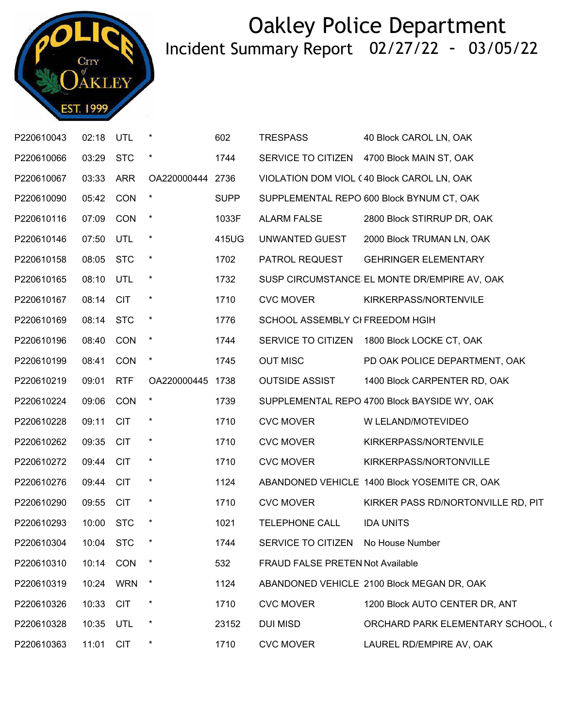

| P220610043 | 02:18     | UTL        | $\star$          | 602         | <b>TRESPASS</b>                         | 40 Block CAROL LN, OAK                        |
|------------|-----------|------------|------------------|-------------|-----------------------------------------|-----------------------------------------------|
| P220610066 | 03:29 STC |            |                  | 1744        |                                         | SERVICE TO CITIZEN 4700 Block MAIN ST, OAK    |
| P220610067 | 03:33     | ARR        | OA220000444 2736 |             |                                         | VIOLATION DOM VIOL (40 Block CAROL LN, OAK    |
| P220610090 | 05:42 CON |            |                  | <b>SUPP</b> |                                         | SUPPLEMENTAL REPO 600 Block BYNUM CT, OAK     |
| P220610116 | 07:09 CON |            | $\star$          | 1033F       | <b>ALARM FALSE</b>                      | 2800 Block STIRRUP DR, OAK                    |
| P220610146 | 07:50     | UTL        | $\star$          | 415UG       | UNWANTED GUEST                          | 2000 Block TRUMAN LN, OAK                     |
| P220610158 | 08:05     | <b>STC</b> | $\star$          | 1702        | PATROL REQUEST                          | <b>GEHRINGER ELEMENTARY</b>                   |
| P220610165 | 08:10 UTL |            | $^\star$         | 1732        |                                         | SUSP CIRCUMSTANCE EL MONTE DR/EMPIRE AV, OAK  |
| P220610167 | 08:14     | <b>CIT</b> | $\star$          | 1710        | <b>CVC MOVER</b>                        | KIRKERPASS/NORTENVILE                         |
| P220610169 | 08:14 STC |            | $\star$          | 1776        | SCHOOL ASSEMBLY CI FREEDOM HGIH         |                                               |
| P220610196 | 08:40 CON |            | $\star$          | 1744        |                                         | SERVICE TO CITIZEN 1800 Block LOCKE CT, OAK   |
| P220610199 | 08:41     | <b>CON</b> | $\star$          | 1745        | <b>OUT MISC</b>                         | PD OAK POLICE DEPARTMENT, OAK                 |
| P220610219 | 09:01     | <b>RTF</b> | OA220000445 1738 |             | <b>OUTSIDE ASSIST</b>                   | 1400 Block CARPENTER RD, OAK                  |
| P220610224 | 09:06     | <b>CON</b> |                  | 1739        |                                         | SUPPLEMENTAL REPO 4700 Block BAYSIDE WY, OAK  |
| P220610228 | 09:11     | <b>CIT</b> | $\star$          | 1710        | <b>CVC MOVER</b>                        | W LELAND/MOTEVIDEO                            |
| P220610262 | 09:35     | <b>CIT</b> | $\ast$           | 1710        | <b>CVC MOVER</b>                        | KIRKERPASS/NORTENVILE                         |
| P220610272 | 09:44 CIT |            | $\star$          | 1710        | <b>CVC MOVER</b>                        | KIRKERPASS/NORTONVILLE                        |
| P220610276 | 09:44 CIT |            | $\star$          | 1124        |                                         | ABANDONED VEHICLE 1400 Block YOSEMITE CR, OAK |
| P220610290 | 09:55     | <b>CIT</b> | $\star$          | 1710        | <b>CVC MOVER</b>                        | KIRKER PASS RD/NORTONVILLE RD, PIT            |
| P220610293 | 10:00 STC |            | $\ast$           | 1021        | <b>TELEPHONE CALL</b>                   | <b>IDA UNITS</b>                              |
| P220610304 | 10:04 STC |            |                  | 1744        | SERVICE TO CITIZEN                      | No House Number                               |
| P220610310 | 10:14     | <b>CON</b> |                  | 532         | <b>FRAUD FALSE PRETEN Not Available</b> |                                               |
| P220610319 | 10:24     | <b>WRN</b> | $\star$          | 1124        |                                         | ABANDONED VEHICLE 2100 Block MEGAN DR, OAK    |
| P220610326 | 10:33     | <b>CIT</b> | $\ast$           | 1710        | <b>CVC MOVER</b>                        | 1200 Block AUTO CENTER DR, ANT                |
| P220610328 | 10:35     | UTL        | $\star$          | 23152       | <b>DUI MISD</b>                         | ORCHARD PARK ELEMENTARY SCHOOL, (             |
| P220610363 | 11:01     | <b>CIT</b> | $\star$          | 1710        | <b>CVC MOVER</b>                        | LAUREL RD/EMPIRE AV, OAK                      |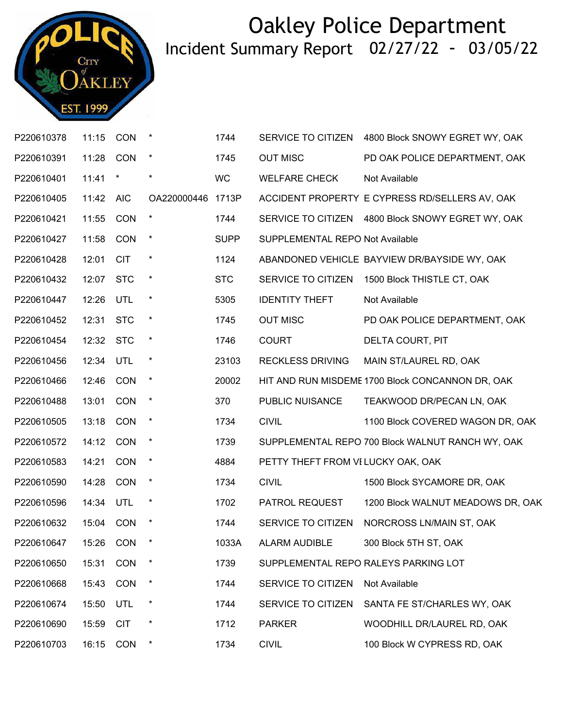

| P220610378 | 11:15     | CON        | $\ast$      | 1744        | SERVICE TO CITIZEN                 | 4800 Block SNOWY EGRET WY, OAK                    |
|------------|-----------|------------|-------------|-------------|------------------------------------|---------------------------------------------------|
| P220610391 | 11:28     | <b>CON</b> | $\ast$      | 1745        | <b>OUT MISC</b>                    | PD OAK POLICE DEPARTMENT, OAK                     |
| P220610401 | 11:41     | $\star$    | $\ast$      | <b>WC</b>   | <b>WELFARE CHECK</b>               | Not Available                                     |
| P220610405 | 11:42     | <b>AIC</b> | OA220000446 | 1713P       |                                    | ACCIDENT PROPERTY E CYPRESS RD/SELLERS AV, OAK    |
| P220610421 | 11:55     | <b>CON</b> | $\ast$      | 1744        |                                    | SERVICE TO CITIZEN 4800 Block SNOWY EGRET WY, OAK |
| P220610427 | 11:58     | <b>CON</b> | $\star$     | <b>SUPP</b> | SUPPLEMENTAL REPO Not Available    |                                                   |
| P220610428 | 12:01     | <b>CIT</b> | $\star$     | 1124        |                                    | ABANDONED VEHICLE BAYVIEW DR/BAYSIDE WY, OAK      |
| P220610432 | 12:07     | <b>STC</b> | $\ast$      | <b>STC</b>  | SERVICE TO CITIZEN                 | 1500 Block THISTLE CT, OAK                        |
| P220610447 | 12:26     | UTL        | $\ast$      | 5305        | <b>IDENTITY THEFT</b>              | Not Available                                     |
| P220610452 | 12:31     | <b>STC</b> | $\ast$      | 1745        | <b>OUT MISC</b>                    | PD OAK POLICE DEPARTMENT, OAK                     |
| P220610454 | 12:32     | <b>STC</b> | $\ast$      | 1746        | <b>COURT</b>                       | DELTA COURT, PIT                                  |
| P220610456 | 12:34     | UTL        | $\ast$      | 23103       | <b>RECKLESS DRIVING</b>            | MAIN ST/LAUREL RD, OAK                            |
| P220610466 | 12:46     | <b>CON</b> | $\star$     | 20002       |                                    | HIT AND RUN MISDEME 1700 Block CONCANNON DR, OAK  |
| P220610488 | 13:01     | <b>CON</b> | $\ast$      | 370         | PUBLIC NUISANCE                    | TEAKWOOD DR/PECAN LN, OAK                         |
| P220610505 | 13:18     | CON        | $\ast$      | 1734        | <b>CIVIL</b>                       | 1100 Block COVERED WAGON DR, OAK                  |
| P220610572 | 14:12     | <b>CON</b> | $\ast$      | 1739        |                                    | SUPPLEMENTAL REPO 700 Block WALNUT RANCH WY, OAK  |
| P220610583 | 14:21     | <b>CON</b> | $\ast$      | 4884        | PETTY THEFT FROM VI LUCKY OAK, OAK |                                                   |
| P220610590 | 14:28     | <b>CON</b> | $\star$     | 1734        | <b>CIVIL</b>                       | 1500 Block SYCAMORE DR, OAK                       |
| P220610596 | 14:34     | UTL        | $\ast$      | 1702        | PATROL REQUEST                     | 1200 Block WALNUT MEADOWS DR, OAK                 |
| P220610632 | 15:04     | <b>CON</b> | $\ast$      | 1744        | SERVICE TO CITIZEN                 | NORCROSS LN/MAIN ST, OAK                          |
| P220610647 | 15:26 CON |            | $\star$     | 1033A       | <b>ALARM AUDIBLE</b>               | 300 Block 5TH ST, OAK                             |
| P220610650 | 15:31     | <b>CON</b> |             | 1739        |                                    | SUPPLEMENTAL REPO RALEYS PARKING LOT              |
| P220610668 | 15:43     | CON        | $\ast$      | 1744        | SERVICE TO CITIZEN                 | Not Available                                     |
| P220610674 | 15:50     | UTL        | $\ast$      | 1744        | SERVICE TO CITIZEN                 | SANTA FE ST/CHARLES WY, OAK                       |
| P220610690 | 15:59     | <b>CIT</b> | $\star$     | 1712        | <b>PARKER</b>                      | WOODHILL DR/LAUREL RD, OAK                        |
| P220610703 | 16:15     | CON        | $\ast$      | 1734        | <b>CIVIL</b>                       | 100 Block W CYPRESS RD, OAK                       |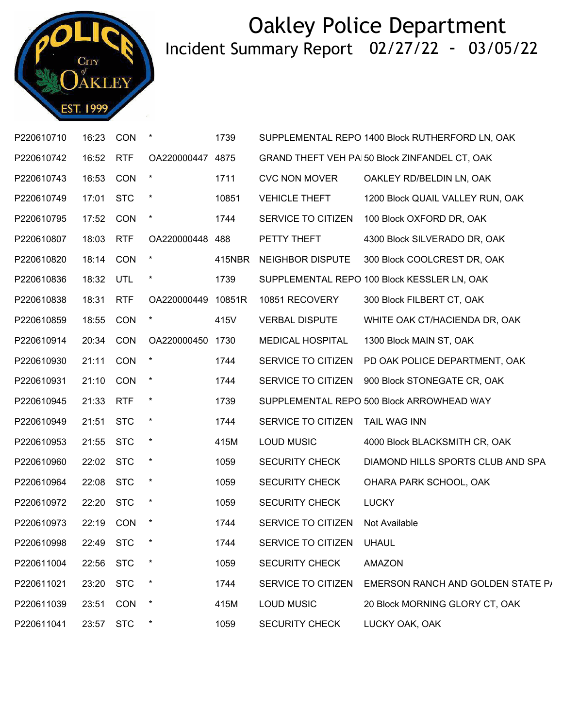

| P220610710 | 16:23 CON |            |                    | 1739   |                          | SUPPLEMENTAL REPO 1400 Block RUTHERFORD LN, OAK |
|------------|-----------|------------|--------------------|--------|--------------------------|-------------------------------------------------|
| P220610742 | 16:52     | <b>RTF</b> | OA220000447 4875   |        |                          | GRAND THEFT VEH PA 50 Block ZINFANDEL CT, OAK   |
| P220610743 | 16:53     | CON        | $^\star$           | 1711   | <b>CVC NON MOVER</b>     | OAKLEY RD/BELDIN LN, OAK                        |
| P220610749 | 17:01 STC |            | $\star$            | 10851  | <b>VEHICLE THEFT</b>     | 1200 Block QUAIL VALLEY RUN, OAK                |
| P220610795 | 17:52     | CON        | $\star$            | 1744   | SERVICE TO CITIZEN       | 100 Block OXFORD DR, OAK                        |
| P220610807 | 18:03     | <b>RTF</b> | OA220000448 488    |        | PETTY THEFT              | 4300 Block SILVERADO DR, OAK                    |
| P220610820 | 18:14 CON |            | $\star$            | 415NBR | NEIGHBOR DISPUTE         | 300 Block COOLCREST DR, OAK                     |
| P220610836 | 18:32 UTL |            | $\star$            | 1739   |                          | SUPPLEMENTAL REPO 100 Block KESSLER LN, OAK     |
| P220610838 | 18:31     | <b>RTF</b> | OA220000449 10851R |        | 10851 RECOVERY           | 300 Block FILBERT CT, OAK                       |
| P220610859 | 18:55 CON |            | $\star$            | 415V   | <b>VERBAL DISPUTE</b>    | WHITE OAK CT/HACIENDA DR, OAK                   |
| P220610914 | 20:34 CON |            | OA220000450 1730   |        | MEDICAL HOSPITAL         | 1300 Block MAIN ST, OAK                         |
| P220610930 | 21:11     | <b>CON</b> | $\star$            | 1744   | SERVICE TO CITIZEN       | PD OAK POLICE DEPARTMENT, OAK                   |
| P220610931 | 21:10 CON |            | $\star$            | 1744   | SERVICE TO CITIZEN       | 900 Block STONEGATE CR, OAK                     |
| P220610945 | 21:33 RTF |            | $\star$            | 1739   |                          | SUPPLEMENTAL REPO 500 Block ARROWHEAD WAY       |
| P220610949 | 21:51     | <b>STC</b> | $\star$            | 1744   | SERVICE TO CITIZEN       | TAIL WAG INN                                    |
| P220610953 | 21:55 STC |            | $\star$            | 415M   | <b>LOUD MUSIC</b>        | 4000 Block BLACKSMITH CR, OAK                   |
| P220610960 | 22:02     | <b>STC</b> | $\star$            | 1059   | <b>SECURITY CHECK</b>    | DIAMOND HILLS SPORTS CLUB AND SPA               |
| P220610964 | 22:08     | <b>STC</b> | $\star$            | 1059   | <b>SECURITY CHECK</b>    | OHARA PARK SCHOOL, OAK                          |
| P220610972 | 22:20 STC |            | $^\star$           | 1059   | <b>SECURITY CHECK</b>    | <b>LUCKY</b>                                    |
| P220610973 | 22:19 CON |            | $\star$            | 1744   | SERVICE TO CITIZEN       | Not Available                                   |
| P220610998 | 22:49 STC |            |                    | 1744   | SERVICE TO CITIZEN UHAUL |                                                 |
| P220611004 | 22:56 STC |            |                    | 1059   | <b>SECURITY CHECK</b>    | <b>AMAZON</b>                                   |
| P220611021 | 23:20     | <b>STC</b> | $\star$            | 1744   | SERVICE TO CITIZEN       | EMERSON RANCH AND GOLDEN STATE P/               |
| P220611039 | 23:51     | <b>CON</b> | $\star$            | 415M   | <b>LOUD MUSIC</b>        | 20 Block MORNING GLORY CT, OAK                  |
| P220611041 | 23:57     | <b>STC</b> | $\ast$             | 1059   | <b>SECURITY CHECK</b>    | LUCKY OAK, OAK                                  |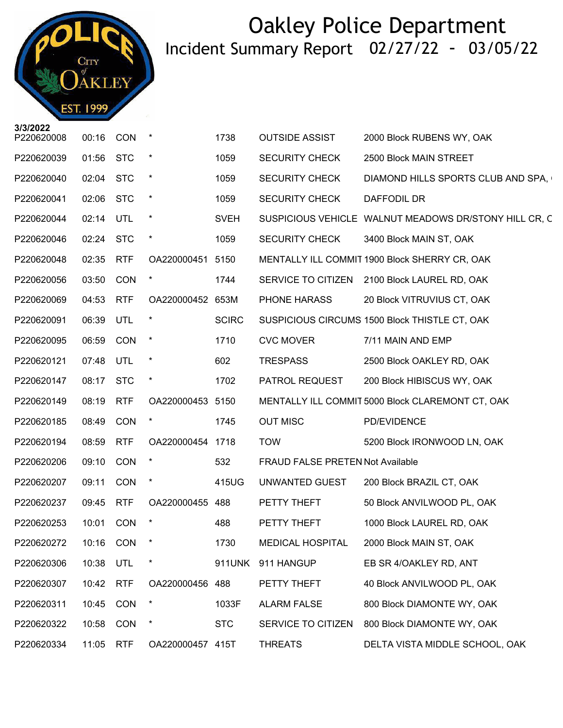CITY **KLEY** Call No. **EST. 1999** Time

| 3/3/2022   |           |            |                  |              |                                         |                                                       |
|------------|-----------|------------|------------------|--------------|-----------------------------------------|-------------------------------------------------------|
| P220620008 | 00:16     | <b>CON</b> |                  | 1738         | <b>OUTSIDE ASSIST</b>                   | 2000 Block RUBENS WY, OAK                             |
| P220620039 | 01:56     | <b>STC</b> | $\ast$           | 1059         | <b>SECURITY CHECK</b>                   | 2500 Block MAIN STREET                                |
| P220620040 | 02:04     | <b>STC</b> | $\star$          | 1059         | <b>SECURITY CHECK</b>                   | DIAMOND HILLS SPORTS CLUB AND SPA,                    |
| P220620041 | 02:06     | <b>STC</b> | $\star$          | 1059         | <b>SECURITY CHECK</b>                   | DAFFODIL DR                                           |
| P220620044 | 02:14     | <b>UTL</b> |                  | <b>SVEH</b>  |                                         | SUSPICIOUS VEHICLE WALNUT MEADOWS DR/STONY HILL CR, C |
| P220620046 | 02:24 STC |            | $\star$          | 1059         | <b>SECURITY CHECK</b>                   | 3400 Block MAIN ST, OAK                               |
| P220620048 | 02:35     | <b>RTF</b> | OA220000451      | 5150         |                                         | MENTALLY ILL COMMIT 1900 Block SHERRY CR, OAK         |
| P220620056 | 03:50     | CON        |                  | 1744         | SERVICE TO CITIZEN                      | 2100 Block LAUREL RD, OAK                             |
| P220620069 | 04:53     | <b>RTF</b> | OA220000452 653M |              | PHONE HARASS                            | 20 Block VITRUVIUS CT, OAK                            |
| P220620091 | 06:39     | UTL        | $\star$          | <b>SCIRC</b> |                                         | SUSPICIOUS CIRCUMS 1500 Block THISTLE CT, OAK         |
| P220620095 | 06:59     | <b>CON</b> |                  | 1710         | <b>CVC MOVER</b>                        | 7/11 MAIN AND EMP                                     |
| P220620121 | 07:48     | UTL        | $\ast$           | 602          | <b>TRESPASS</b>                         | 2500 Block OAKLEY RD, OAK                             |
| P220620147 | 08:17     | <b>STC</b> | $\star$          | 1702         | PATROL REQUEST                          | 200 Block HIBISCUS WY, OAK                            |
| P220620149 | 08:19     | <b>RTF</b> | OA220000453 5150 |              |                                         | MENTALLY ILL COMMIT 5000 Block CLAREMONT CT, OAK      |
| P220620185 | 08:49     | <b>CON</b> | $\star$          | 1745         | <b>OUT MISC</b>                         | PD/EVIDENCE                                           |
| P220620194 | 08:59     | <b>RTF</b> | OA220000454 1718 |              | <b>TOW</b>                              | 5200 Block IRONWOOD LN, OAK                           |
| P220620206 | 09:10     | CON        |                  | 532          | <b>FRAUD FALSE PRETEN Not Available</b> |                                                       |
| P220620207 | 09:11     | <b>CON</b> | $\star$          | 415UG        | UNWANTED GUEST                          | 200 Block BRAZIL CT, OAK                              |
| P220620237 | 09:45     | <b>RTF</b> | OA220000455 488  |              | PETTY THEFT                             | 50 Block ANVILWOOD PL, OAK                            |
| P220620253 | 10:01     | <b>CON</b> |                  | 488          | PETTY THEFT                             | 1000 Block LAUREL RD, OAK                             |
| P220620272 | 10:16 CON |            |                  | 1730         | MEDICAL HOSPITAL                        | 2000 Block MAIN ST, OAK                               |
| P220620306 | 10:38     | UTL        | $^\star$         | 911UNK       | 911 HANGUP                              | EB SR 4/OAKLEY RD, ANT                                |
| P220620307 | 10:42     | <b>RTF</b> | OA220000456 488  |              | PETTY THEFT                             | 40 Block ANVILWOOD PL, OAK                            |
| P220620311 | 10:45     | CON        |                  | 1033F        | <b>ALARM FALSE</b>                      | 800 Block DIAMONTE WY, OAK                            |
| P220620322 | 10:58     | CON        |                  | <b>STC</b>   | SERVICE TO CITIZEN                      | 800 Block DIAMONTE WY, OAK                            |
| P220620334 | 11:05     | <b>RTF</b> | OA220000457 415T |              | <b>THREATS</b>                          | DELTA VISTA MIDDLE SCHOOL, OAK                        |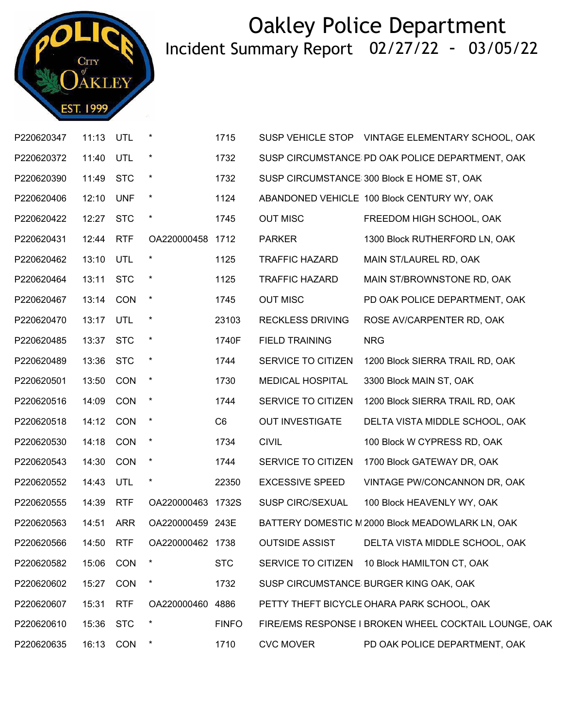

| P220620347 | 11:13     | UTL        | $\star$           | 1715           |                         | SUSP VEHICLE STOP VINTAGE ELEMENTARY SCHOOL, OAK      |
|------------|-----------|------------|-------------------|----------------|-------------------------|-------------------------------------------------------|
| P220620372 | 11:40 UTL |            | $\star$           | 1732           |                         | SUSP CIRCUMSTANCE PD OAK POLICE DEPARTMENT, OAK       |
| P220620390 | 11:49 STC |            | $\star$           | 1732           |                         | SUSP CIRCUMSTANCE 300 Block E HOME ST, OAK            |
| P220620406 | 12:10     | <b>UNF</b> | $\star$           | 1124           |                         | ABANDONED VEHICLE 100 Block CENTURY WY, OAK           |
| P220620422 | 12:27 STC |            | $\star$           | 1745           | <b>OUT MISC</b>         | FREEDOM HIGH SCHOOL, OAK                              |
| P220620431 | 12:44     | <b>RTF</b> | OA220000458 1712  |                | <b>PARKER</b>           | 1300 Block RUTHERFORD LN, OAK                         |
| P220620462 | 13:10     | UTL        | $\star$           | 1125           | <b>TRAFFIC HAZARD</b>   | MAIN ST/LAUREL RD, OAK                                |
| P220620464 | 13:11 STC |            | $\star$           | 1125           | <b>TRAFFIC HAZARD</b>   | MAIN ST/BROWNSTONE RD, OAK                            |
| P220620467 | 13:14 CON |            | $\star$           | 1745           | <b>OUT MISC</b>         | PD OAK POLICE DEPARTMENT, OAK                         |
| P220620470 | 13:17     | UTL        | $\star$           | 23103          | <b>RECKLESS DRIVING</b> | ROSE AV/CARPENTER RD, OAK                             |
| P220620485 | 13:37 STC |            | $\star$           | 1740F          | <b>FIELD TRAINING</b>   | <b>NRG</b>                                            |
| P220620489 | 13:36     | <b>STC</b> | $\star$           | 1744           | SERVICE TO CITIZEN      | 1200 Block SIERRA TRAIL RD, OAK                       |
| P220620501 | 13:50     | <b>CON</b> | $\ast$            | 1730           | MEDICAL HOSPITAL        | 3300 Block MAIN ST, OAK                               |
| P220620516 | 14:09     | <b>CON</b> | $\star$           | 1744           | SERVICE TO CITIZEN      | 1200 Block SIERRA TRAIL RD, OAK                       |
| P220620518 | 14:12 CON |            | $\star$           | C <sub>6</sub> | <b>OUT INVESTIGATE</b>  | DELTA VISTA MIDDLE SCHOOL, OAK                        |
| P220620530 | 14:18     | <b>CON</b> | $\star$           | 1734           | <b>CIVIL</b>            | 100 Block W CYPRESS RD, OAK                           |
| P220620543 | 14:30     | CON        | $\star$           | 1744           | SERVICE TO CITIZEN      | 1700 Block GATEWAY DR, OAK                            |
| P220620552 | 14:43     | UTL        | $\star$           | 22350          | <b>EXCESSIVE SPEED</b>  | VINTAGE PW/CONCANNON DR, OAK                          |
| P220620555 | 14:39     | <b>RTF</b> | OA220000463 1732S |                | <b>SUSP CIRC/SEXUAL</b> | 100 Block HEAVENLY WY, OAK                            |
| P220620563 | 14:51     | <b>ARR</b> | OA220000459 243E  |                |                         | BATTERY DOMESTIC IV 2000 Block MEADOWLARK LN, OAK     |
| P220620566 | 14:50     | <b>RTF</b> | OA220000462 1738  |                | <b>OUTSIDE ASSIST</b>   | DELTA VISTA MIDDLE SCHOOL, OAK                        |
| P220620582 | 15:06     | <b>CON</b> |                   | <b>STC</b>     | SERVICE TO CITIZEN      | 10 Block HAMILTON CT, OAK                             |
| P220620602 | 15:27     | CON        |                   | 1732           |                         | SUSP CIRCUMSTANCE BURGER KING OAK, OAK                |
| P220620607 | 15:31     | <b>RTF</b> | OA220000460 4886  |                |                         | PETTY THEFT BICYCLE OHARA PARK SCHOOL, OAK            |
| P220620610 | 15:36     | <b>STC</b> |                   | <b>FINFO</b>   |                         | FIRE/EMS RESPONSE I BROKEN WHEEL COCKTAIL LOUNGE, OAK |
| P220620635 | 16:13     | <b>CON</b> |                   | 1710           | <b>CVC MOVER</b>        | PD OAK POLICE DEPARTMENT, OAK                         |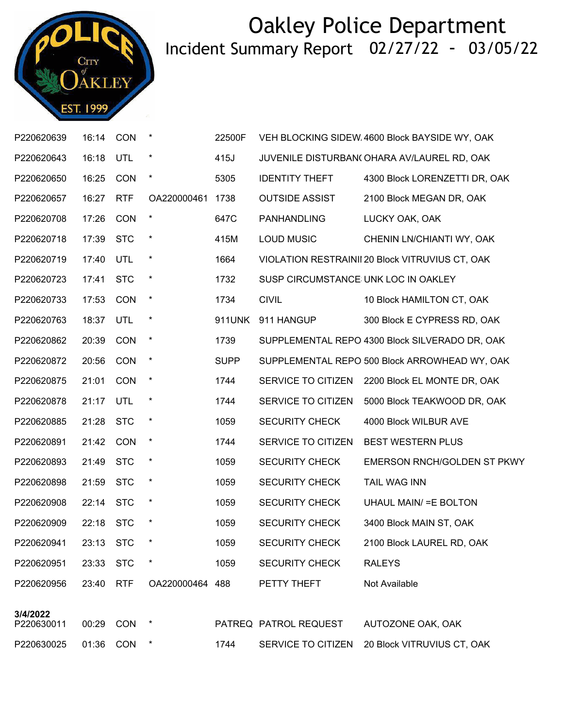

| P220620639             | 16:14 CON |            | $\star$         | 22500F      |                                     | VEH BLOCKING SIDEW 4600 Block BAYSIDE WY, OAK   |
|------------------------|-----------|------------|-----------------|-------------|-------------------------------------|-------------------------------------------------|
| P220620643             | 16:18     | UTL        | $\star$         | 415J        |                                     | JUVENILE DISTURBAN(OHARA AV/LAUREL RD, OAK      |
| P220620650             | 16:25     | <b>CON</b> | $\star$         | 5305        | <b>IDENTITY THEFT</b>               | 4300 Block LORENZETTI DR, OAK                   |
| P220620657             | 16:27     | <b>RTF</b> | OA220000461     | 1738        | <b>OUTSIDE ASSIST</b>               | 2100 Block MEGAN DR, OAK                        |
| P220620708             | 17:26     | <b>CON</b> | $\star$         | 647C        | PANHANDLING                         | LUCKY OAK, OAK                                  |
| P220620718             | 17:39     | <b>STC</b> | $\star$         | 415M        | <b>LOUD MUSIC</b>                   | CHENIN LN/CHIANTI WY, OAK                       |
| P220620719             | 17:40     | UTL        | $\star$         | 1664        |                                     | VIOLATION RESTRAINII 20 Block VITRUVIUS CT, OAK |
| P220620723             | 17:41     | <b>STC</b> | $\star$         | 1732        | SUSP CIRCUMSTANCE UNK LOC IN OAKLEY |                                                 |
| P220620733             | 17:53     | <b>CON</b> | $\star$         | 1734        | <b>CIVIL</b>                        | 10 Block HAMILTON CT, OAK                       |
| P220620763             | 18:37     | UTL        | $\star$         | 911UNK      | 911 HANGUP                          | 300 Block E CYPRESS RD, OAK                     |
| P220620862             | 20:39     | <b>CON</b> | $\star$         | 1739        |                                     | SUPPLEMENTAL REPO 4300 Block SILVERADO DR, OAK  |
| P220620872             | 20:56     | CON        | $\star$         | <b>SUPP</b> |                                     | SUPPLEMENTAL REPO 500 Block ARROWHEAD WY, OAK   |
| P220620875             | 21:01     | <b>CON</b> | $\star$         | 1744        | SERVICE TO CITIZEN                  | 2200 Block EL MONTE DR, OAK                     |
| P220620878             | 21:17     | <b>UTL</b> | $\star$         | 1744        | SERVICE TO CITIZEN                  | 5000 Block TEAKWOOD DR, OAK                     |
| P220620885             | 21:28     | <b>STC</b> | $\star$         | 1059        | <b>SECURITY CHECK</b>               | 4000 Block WILBUR AVE                           |
| P220620891             | 21:42     | CON        | $\star$         | 1744        | SERVICE TO CITIZEN                  | <b>BEST WESTERN PLUS</b>                        |
| P220620893             | 21:49     | <b>STC</b> | $\star$         | 1059        | <b>SECURITY CHECK</b>               | <b>EMERSON RNCH/GOLDEN ST PKWY</b>              |
| P220620898             | 21:59     | <b>STC</b> | $\star$         | 1059        | <b>SECURITY CHECK</b>               | <b>TAIL WAG INN</b>                             |
| P220620908             | 22:14     | <b>STC</b> | $\star$         | 1059        | <b>SECURITY CHECK</b>               | <b>UHAUL MAIN/ = E BOLTON</b>                   |
| P220620909             | 22:18 STC |            |                 | 1059        | <b>SECURITY CHECK</b>               | 3400 Block MAIN ST, OAK                         |
| P220620941 23:13 STC   |           |            |                 | 1059        | SECURITY CHECK                      | 2100 Block LAUREL RD, OAK                       |
| P220620951             | 23:33     | <b>STC</b> | $\star$         | 1059        | <b>SECURITY CHECK</b>               | <b>RALEYS</b>                                   |
| P220620956             | 23:40 RTF |            | OA220000464 488 |             | PETTY THEFT                         | Not Available                                   |
| 3/4/2022<br>P220630011 | 00:29 CON |            | $\star$         |             | PATREQ PATROL REQUEST               | AUTOZONE OAK, OAK                               |
|                        |           |            |                 |             |                                     |                                                 |

P220630025 01:36 CON \* 1744 SERVICE TO CITIZEN 20 Block VITRUVIUS CT, OAK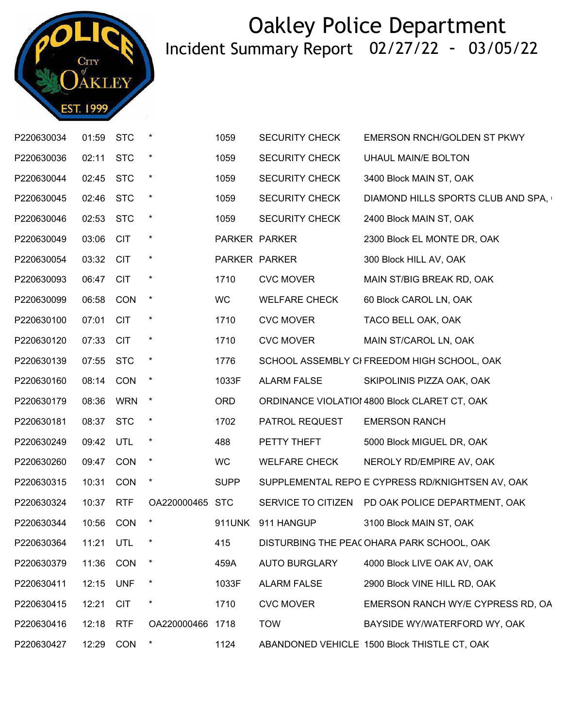

| P220630034 | 01:59 STC |             |                 | 1059        | <b>SECURITY CHECK</b> | EMERSON RNCH/GOLDEN ST PKWY                      |
|------------|-----------|-------------|-----------------|-------------|-----------------------|--------------------------------------------------|
| P220630036 | 02:11 STC |             | $\star$         | 1059        | <b>SECURITY CHECK</b> | UHAUL MAIN/E BOLTON                              |
| P220630044 | 02:45     | <b>STC</b>  | $^\star$        | 1059        | <b>SECURITY CHECK</b> | 3400 Block MAIN ST, OAK                          |
| P220630045 | 02:46 STC |             | $\ast$          | 1059        | <b>SECURITY CHECK</b> | DIAMOND HILLS SPORTS CLUB AND SPA,               |
| P220630046 | 02:53 STC |             | $\ast$          | 1059        | <b>SECURITY CHECK</b> | 2400 Block MAIN ST, OAK                          |
| P220630049 | 03:06     | <b>CIT</b>  | $\ast$          |             | PARKER PARKER         | 2300 Block EL MONTE DR, OAK                      |
| P220630054 | 03:32 CIT |             | $\ast$          |             | PARKER PARKER         | 300 Block HILL AV, OAK                           |
| P220630093 | 06:47 CIT |             | $\star$         | 1710        | <b>CVC MOVER</b>      | MAIN ST/BIG BREAK RD, OAK                        |
| P220630099 | 06:58     | CON         | $\star$         | WC          | <b>WELFARE CHECK</b>  | 60 Block CAROL LN, OAK                           |
| P220630100 | 07:01     | <b>CIT</b>  | $\star$         | 1710        | <b>CVC MOVER</b>      | TACO BELL OAK, OAK                               |
| P220630120 | 07:33     | <b>CIT</b>  | $\star$         | 1710        | <b>CVC MOVER</b>      | MAIN ST/CAROL LN, OAK                            |
| P220630139 | 07:55     | <b>STC</b>  | $\star$         | 1776        |                       | SCHOOL ASSEMBLY CI FREEDOM HIGH SCHOOL, OAK      |
| P220630160 | 08:14 CON |             | $\star$         | 1033F       | <b>ALARM FALSE</b>    | SKIPOLINIS PIZZA OAK, OAK                        |
| P220630179 | 08:36 WRN |             | $\star$         | <b>ORD</b>  |                       | ORDINANCE VIOLATIOI 4800 Block CLARET CT, OAK    |
| P220630181 | 08:37 STC |             | $\ast$          | 1702        | PATROL REQUEST        | <b>EMERSON RANCH</b>                             |
| P220630249 | 09:42 UTL |             | $\star$         | 488         | PETTY THEFT           | 5000 Block MIGUEL DR, OAK                        |
| P220630260 | 09:47 CON |             | $\star$         | <b>WC</b>   | <b>WELFARE CHECK</b>  | NEROLY RD/EMPIRE AV, OAK                         |
| P220630315 | 10:31     | <b>CON</b>  | $\star$         | <b>SUPP</b> |                       | SUPPLEMENTAL REPO E CYPRESS RD/KNIGHTSEN AV, OAK |
| P220630324 | 10:37     | <b>RTF</b>  | OA220000465 STC |             |                       | SERVICE TO CITIZEN PD OAK POLICE DEPARTMENT, OAK |
| P220630344 | 10:56 CON |             |                 |             | 911UNK 911 HANGUP     | 3100 Block MAIN ST, OAK                          |
| P220630364 |           | 11:21 UTL * |                 | 415         |                       | DISTURBING THE PEA( OHARA PARK SCHOOL, OAK       |
| P220630379 | 11:36     | CON         |                 | 459A        | <b>AUTO BURGLARY</b>  | 4000 Block LIVE OAK AV, OAK                      |
| P220630411 | 12:15 UNF |             | $^\star$        | 1033F       | <b>ALARM FALSE</b>    | 2900 Block VINE HILL RD, OAK                     |
| P220630415 | 12:21     | <b>CIT</b>  | $\ast$          | 1710        | <b>CVC MOVER</b>      | EMERSON RANCH WY/E CYPRESS RD, OA                |
| P220630416 | 12:18     | <b>RTF</b>  | OA220000466     | 1718        | <b>TOW</b>            | BAYSIDE WY/WATERFORD WY, OAK                     |
| P220630427 | 12:29     | CON         |                 | 1124        |                       | ABANDONED VEHICLE 1500 Block THISTLE CT, OAK     |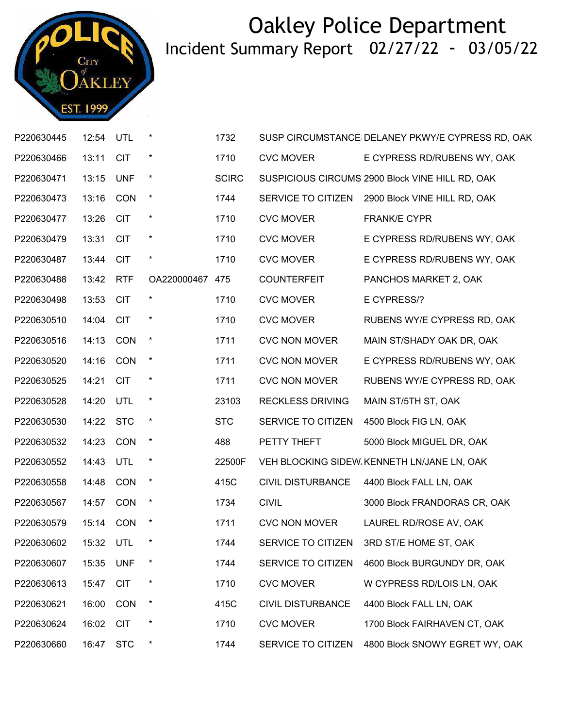

| P220630445 | 12:54     | UTL        |                 | 1732         |                          | SUSP CIRCUMSTANCE DELANEY PKWY/E CYPRESS RD, OAK |
|------------|-----------|------------|-----------------|--------------|--------------------------|--------------------------------------------------|
| P220630466 | 13:11     | <b>CIT</b> | $\star$         | 1710         | <b>CVC MOVER</b>         | E CYPRESS RD/RUBENS WY, OAK                      |
| P220630471 | 13:15     | <b>UNF</b> | $\star$         | <b>SCIRC</b> |                          | SUSPICIOUS CIRCUMS 2900 Block VINE HILL RD, OAK  |
| P220630473 | 13:16     | CON        | $\star$         | 1744         | SERVICE TO CITIZEN       | 2900 Block VINE HILL RD, OAK                     |
| P220630477 | 13:26     | <b>CIT</b> | $\star$         | 1710         | <b>CVC MOVER</b>         | <b>FRANK/E CYPR</b>                              |
| P220630479 | 13:31     | <b>CIT</b> | *               | 1710         | <b>CVC MOVER</b>         | E CYPRESS RD/RUBENS WY, OAK                      |
| P220630487 | 13:44     | <b>CIT</b> | $\ast$          | 1710         | <b>CVC MOVER</b>         | E CYPRESS RD/RUBENS WY, OAK                      |
| P220630488 | 13:42     | <b>RTF</b> | OA220000467 475 |              | <b>COUNTERFEIT</b>       | PANCHOS MARKET 2, OAK                            |
| P220630498 | 13:53     | <b>CIT</b> | *               | 1710         | <b>CVC MOVER</b>         | E CYPRESS/?                                      |
| P220630510 | 14:04     | <b>CIT</b> | *               | 1710         | <b>CVC MOVER</b>         | RUBENS WY/E CYPRESS RD, OAK                      |
| P220630516 | 14:13     | CON        | $\star$         | 1711         | <b>CVC NON MOVER</b>     | MAIN ST/SHADY OAK DR, OAK                        |
| P220630520 | 14:16     | CON        | $\star$         | 1711         | <b>CVC NON MOVER</b>     | E CYPRESS RD/RUBENS WY, OAK                      |
| P220630525 | 14:21     | <b>CIT</b> | *               | 1711         | <b>CVC NON MOVER</b>     | RUBENS WY/E CYPRESS RD, OAK                      |
| P220630528 | 14:20     | UTL        | $\star$         | 23103        | <b>RECKLESS DRIVING</b>  | MAIN ST/5TH ST, OAK                              |
| P220630530 | 14:22     | <b>STC</b> | $\ast$          | <b>STC</b>   | SERVICE TO CITIZEN       | 4500 Block FIG LN, OAK                           |
| P220630532 | 14:23     | CON        | $\star$         | 488          | PETTY THEFT              | 5000 Block MIGUEL DR, OAK                        |
| P220630552 | 14:43     | UTL        | $\star$         | 22500F       |                          | VEH BLOCKING SIDEW KENNETH LN/JANE LN, OAK       |
| P220630558 | 14:48     | CON        | $\star$         | 415C         | <b>CIVIL DISTURBANCE</b> | 4400 Block FALL LN, OAK                          |
| P220630567 | 14:57     | <b>CON</b> | $\ast$          | 1734         | <b>CIVIL</b>             | 3000 Block FRANDORAS CR, OAK                     |
| P220630579 | 15:14 CON |            | $\star$         | 1711         | <b>CVC NON MOVER</b>     | LAUREL RD/ROSE AV, OAK                           |
| P220630602 | 15:32 UTL |            |                 | 1744         | SERVICE TO CITIZEN       | 3RD ST/E HOME ST, OAK                            |
| P220630607 | 15:35     | <b>UNF</b> | *               | 1744         | SERVICE TO CITIZEN       | 4600 Block BURGUNDY DR, OAK                      |
| P220630613 | 15:47     | <b>CIT</b> | *               | 1710         | <b>CVC MOVER</b>         | W CYPRESS RD/LOIS LN, OAK                        |
| P220630621 | 16:00     | CON        | $\star$         | 415C         | <b>CIVIL DISTURBANCE</b> | 4400 Block FALL LN, OAK                          |
| P220630624 | 16:02     | <b>CIT</b> | *               | 1710         | <b>CVC MOVER</b>         | 1700 Block FAIRHAVEN CT, OAK                     |
| P220630660 | 16:47     | <b>STC</b> | $\ast$          | 1744         | SERVICE TO CITIZEN       | 4800 Block SNOWY EGRET WY, OAK                   |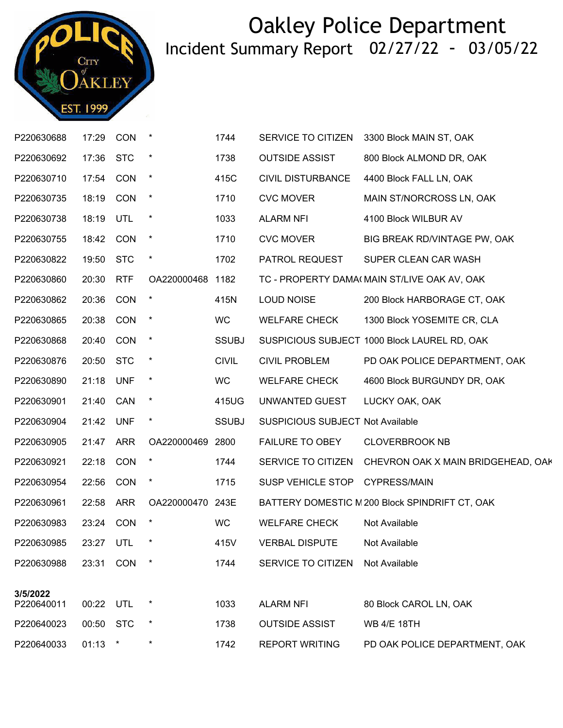

| P220630688 | 17:29     | <b>CON</b> | $\ast$           | 1744         | SERVICE TO CITIZEN                      | 3300 Block MAIN ST, OAK                               |
|------------|-----------|------------|------------------|--------------|-----------------------------------------|-------------------------------------------------------|
| P220630692 | 17:36     | <b>STC</b> | $\ast$           | 1738         | <b>OUTSIDE ASSIST</b>                   | 800 Block ALMOND DR, OAK                              |
| P220630710 | 17:54     | <b>CON</b> | $\star$          | 415C         | <b>CIVIL DISTURBANCE</b>                | 4400 Block FALL LN, OAK                               |
| P220630735 | 18:19     | <b>CON</b> | $\star$          | 1710         | <b>CVC MOVER</b>                        | MAIN ST/NORCROSS LN, OAK                              |
| P220630738 | 18:19     | UTL        | $\star$          | 1033         | <b>ALARM NFI</b>                        | 4100 Block WILBUR AV                                  |
| P220630755 | 18:42 CON |            | $\star$          | 1710         | <b>CVC MOVER</b>                        | BIG BREAK RD/VINTAGE PW, OAK                          |
| P220630822 | 19:50 STC |            | $\star$          | 1702         | PATROL REQUEST                          | SUPER CLEAN CAR WASH                                  |
| P220630860 | 20:30     | <b>RTF</b> | OA220000468 1182 |              |                                         | TC - PROPERTY DAMA(MAIN ST/LIVE OAK AV, OAK           |
| P220630862 | 20:36     | <b>CON</b> | $\star$          | 415N         | <b>LOUD NOISE</b>                       | 200 Block HARBORAGE CT, OAK                           |
| P220630865 | 20:38     | <b>CON</b> | $\ast$           | WC           | <b>WELFARE CHECK</b>                    | 1300 Block YOSEMITE CR, CLA                           |
| P220630868 | 20:40     | <b>CON</b> | $\star$          | <b>SSUBJ</b> |                                         | SUSPICIOUS SUBJECT 1000 Block LAUREL RD, OAK          |
| P220630876 | 20:50     | <b>STC</b> | $\ast$           | <b>CIVIL</b> | <b>CIVIL PROBLEM</b>                    | PD OAK POLICE DEPARTMENT, OAK                         |
| P220630890 | 21:18 UNF |            | $\star$          | <b>WC</b>    | <b>WELFARE CHECK</b>                    | 4600 Block BURGUNDY DR, OAK                           |
| P220630901 | 21:40 CAN |            | $\star$          | 415UG        | UNWANTED GUEST                          | LUCKY OAK, OAK                                        |
| P220630904 | 21:42     | UNF        | $\ast$           | <b>SSUBJ</b> | <b>SUSPICIOUS SUBJECT Not Available</b> |                                                       |
| P220630905 | 21:47 ARR |            | OA220000469 2800 |              | <b>FAILURE TO OBEY</b>                  | <b>CLOVERBROOK NB</b>                                 |
| P220630921 | 22:18     | <b>CON</b> | $\star$          | 1744         |                                         | SERVICE TO CITIZEN CHEVRON OAK X MAIN BRIDGEHEAD, OAK |
| P220630954 | 22:56     | CON        | $\ast$           | 1715         | SUSP VEHICLE STOP CYPRESS/MAIN          |                                                       |
| P220630961 | 22:58     | ARR        | OA220000470 243E |              |                                         | BATTERY DOMESTIC N 200 Block SPINDRIFT CT, OAK        |
| P220630983 | 23:24 CON |            | $\star$          | <b>WC</b>    | <b>WELFARE CHECK</b>                    | Not Available                                         |
| P220630985 |           | 23:27 UTL  | $\star$          | 415V         | VERBAL DISPUTE Not Available            |                                                       |
| P220630988 | 23:31 CON |            | $\ast$           | 1744         | SERVICE TO CITIZEN                      | Not Available                                         |
| 3/5/2022   |           |            |                  |              |                                         |                                                       |
| P220640011 | 00:22 UTL |            | $\ast$           | 1033         | <b>ALARM NFI</b>                        | 80 Block CAROL LN, OAK                                |
| P220640023 | 00:50 STC |            | $\ast$           | 1738         | <b>OUTSIDE ASSIST</b>                   | <b>WB 4/E 18TH</b>                                    |
| P220640033 | 01:13     | $\star$    | $\ast$           | 1742         | <b>REPORT WRITING</b>                   | PD OAK POLICE DEPARTMENT, OAK                         |
|            |           |            |                  |              |                                         |                                                       |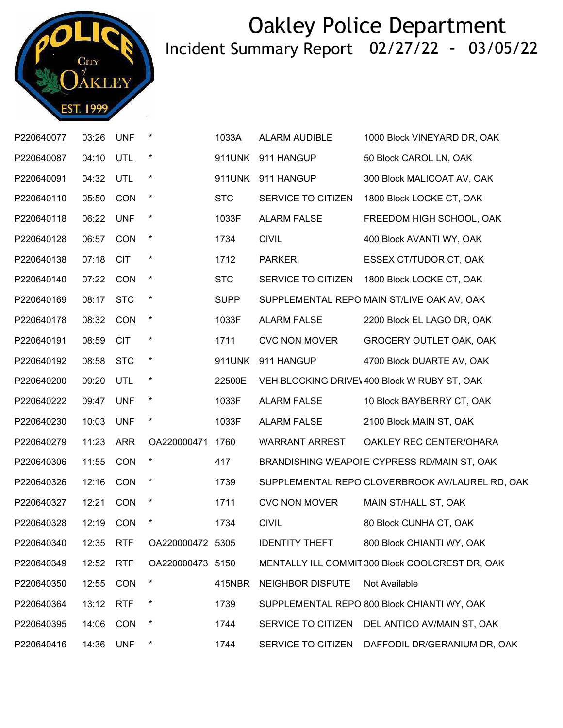

| P220640077 | 03:26     | <b>UNF</b> | $\star$          | 1033A       | ALARM AUDIBLE           | 1000 Block VINEYARD DR, OAK                     |
|------------|-----------|------------|------------------|-------------|-------------------------|-------------------------------------------------|
| P220640087 | 04:10     | UTL        | $\star$          | 911UNK      | 911 HANGUP              | 50 Block CAROL LN, OAK                          |
| P220640091 | 04:32     | UTL        | $\star$          | 911UNK      | 911 HANGUP              | 300 Block MALICOAT AV, OAK                      |
| P220640110 | 05:50     | <b>CON</b> | $\star$          | <b>STC</b>  | SERVICE TO CITIZEN      | 1800 Block LOCKE CT, OAK                        |
| P220640118 | 06:22     | <b>UNF</b> | $\star$          | 1033F       | <b>ALARM FALSE</b>      | FREEDOM HIGH SCHOOL, OAK                        |
| P220640128 | 06:57     | CON        | $\star$          | 1734        | <b>CIVIL</b>            | 400 Block AVANTI WY, OAK                        |
| P220640138 | 07:18     | <b>CIT</b> | $\ast$           | 1712        | <b>PARKER</b>           | ESSEX CT/TUDOR CT, OAK                          |
| P220640140 | 07:22     | CON        | $\star$          | <b>STC</b>  | SERVICE TO CITIZEN      | 1800 Block LOCKE CT, OAK                        |
| P220640169 | 08:17     | <b>STC</b> | $\star$          | <b>SUPP</b> |                         | SUPPLEMENTAL REPO MAIN ST/LIVE OAK AV, OAK      |
| P220640178 | 08:32     | CON        | $\star$          | 1033F       | <b>ALARM FALSE</b>      | 2200 Block EL LAGO DR, OAK                      |
| P220640191 | 08:59     | <b>CIT</b> | $\star$          | 1711        | <b>CVC NON MOVER</b>    | GROCERY OUTLET OAK, OAK                         |
| P220640192 | 08:58     | <b>STC</b> | $\star$          | 911UNK      | 911 HANGUP              | 4700 Block DUARTE AV, OAK                       |
| P220640200 | 09:20     | <b>UTL</b> | $\star$          | 22500E      |                         | VEH BLOCKING DRIVE\ 400 Block W RUBY ST, OAK    |
| P220640222 | 09:47     | <b>UNF</b> | $\star$          | 1033F       | <b>ALARM FALSE</b>      | 10 Block BAYBERRY CT, OAK                       |
| P220640230 | 10:03     | <b>UNF</b> | $\star$          | 1033F       | <b>ALARM FALSE</b>      | 2100 Block MAIN ST, OAK                         |
| P220640279 | 11:23     | <b>ARR</b> | OA220000471      | 1760        | <b>WARRANT ARREST</b>   | OAKLEY REC CENTER/OHARA                         |
| P220640306 | 11:55     | CON        | $\star$          | 417         |                         | BRANDISHING WEAPOI E CYPRESS RD/MAIN ST, OAK    |
| P220640326 | 12:16     | CON        | $\star$          | 1739        |                         | SUPPLEMENTAL REPO CLOVERBROOK AV/LAUREL RD, OAK |
| P220640327 | 12:21     | CON        | $\star$          | 1711        | <b>CVC NON MOVER</b>    | MAIN ST/HALL ST, OAK                            |
| P220640328 | 12:19     | CON        | $\ast$           | 1734        | <b>CIVIL</b>            | 80 Block CUNHA CT, OAK                          |
| P220640340 | 12:35 RTF |            | OA220000472 5305 |             | <b>IDENTITY THEFT</b>   | 800 Block CHIANTI WY, OAK                       |
| P220640349 | 12:52     | <b>RTF</b> | OA220000473 5150 |             |                         | MENTALLY ILL COMMIT 300 Block COOLCREST DR, OAK |
| P220640350 | 12:55     | <b>CON</b> | $\ast$           | 415NBR      | <b>NEIGHBOR DISPUTE</b> | Not Available                                   |
| P220640364 | 13:12     | <b>RTF</b> | $\ast$           | 1739        |                         | SUPPLEMENTAL REPO 800 Block CHIANTI WY, OAK     |
| P220640395 | 14:06     | <b>CON</b> | $\star$          | 1744        |                         | SERVICE TO CITIZEN DEL ANTICO AV/MAIN ST, OAK   |
| P220640416 | 14:36     | <b>UNF</b> | $\ast$           | 1744        | SERVICE TO CITIZEN      | DAFFODIL DR/GERANIUM DR, OAK                    |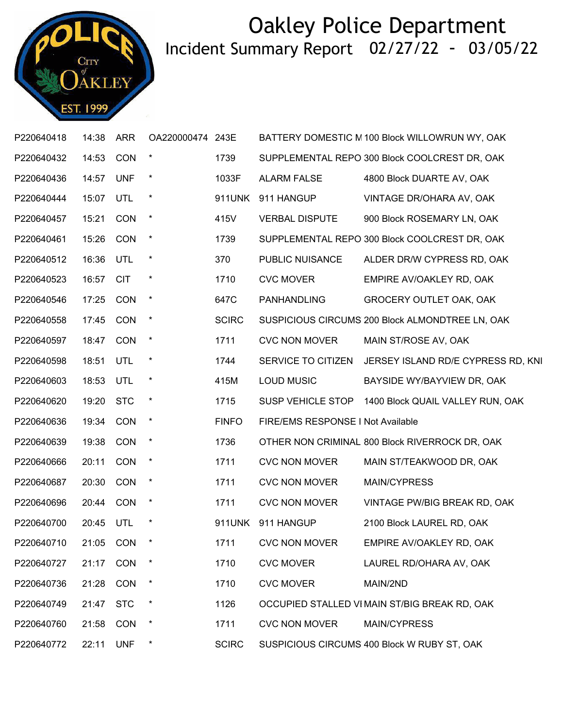

| P220640418 | 14:38 | <b>ARR</b> | OA220000474 243E |              |                                   | BATTERY DOMESTIC M 100 Block WILLOWRUN WY, OAK  |
|------------|-------|------------|------------------|--------------|-----------------------------------|-------------------------------------------------|
| P220640432 | 14:53 | CON        | $\star$          | 1739         |                                   | SUPPLEMENTAL REPO 300 Block COOLCREST DR, OAK   |
| P220640436 | 14:57 | <b>UNF</b> | $\ast$           | 1033F        | <b>ALARM FALSE</b>                | 4800 Block DUARTE AV, OAK                       |
| P220640444 | 15:07 | UTL        | $\ast$           | 911UNK       | 911 HANGUP                        | VINTAGE DR/OHARA AV, OAK                        |
| P220640457 | 15:21 | <b>CON</b> | $\star$          | 415V         | <b>VERBAL DISPUTE</b>             | 900 Block ROSEMARY LN, OAK                      |
| P220640461 | 15:26 | CON        | $\ast$           | 1739         |                                   | SUPPLEMENTAL REPO 300 Block COOLCREST DR, OAK   |
| P220640512 | 16:36 | UTL        | $\star$          | 370          | PUBLIC NUISANCE                   | ALDER DR/W CYPRESS RD, OAK                      |
| P220640523 | 16:57 | <b>CIT</b> | $\star$          | 1710         | <b>CVC MOVER</b>                  | EMPIRE AV/OAKLEY RD, OAK                        |
| P220640546 | 17:25 | <b>CON</b> | $\ast$           | 647C         | <b>PANHANDLING</b>                | <b>GROCERY OUTLET OAK, OAK</b>                  |
| P220640558 | 17:45 | CON        | $\ast$           | <b>SCIRC</b> |                                   | SUSPICIOUS CIRCUMS 200 Block ALMONDTREE LN, OAK |
| P220640597 | 18:47 | CON        | $\ast$           | 1711         | <b>CVC NON MOVER</b>              | MAIN ST/ROSE AV, OAK                            |
| P220640598 | 18:51 | UTL        | $\ast$           | 1744         | SERVICE TO CITIZEN                | JERSEY ISLAND RD/E CYPRESS RD, KNI              |
| P220640603 | 18:53 | UTL        | $^{\star}$       | 415M         | <b>LOUD MUSIC</b>                 | BAYSIDE WY/BAYVIEW DR, OAK                      |
| P220640620 | 19:20 | <b>STC</b> | $\star$          | 1715         | SUSP VEHICLE STOP                 | 1400 Block QUAIL VALLEY RUN, OAK                |
| P220640636 | 19:34 | CON        | $\ast$           | <b>FINFO</b> | FIRE/EMS RESPONSE I Not Available |                                                 |
| P220640639 | 19:38 | CON        | $\ast$           | 1736         |                                   | OTHER NON CRIMINAL 800 Block RIVERROCK DR, OAK  |
| P220640666 | 20:11 | CON        | $\star$          | 1711         | <b>CVC NON MOVER</b>              | MAIN ST/TEAKWOOD DR, OAK                        |
| P220640687 | 20:30 | <b>CON</b> | $\ast$           | 1711         | <b>CVC NON MOVER</b>              | MAIN/CYPRESS                                    |
| P220640696 | 20:44 | <b>CON</b> | $\ast$           | 1711         | <b>CVC NON MOVER</b>              | VINTAGE PW/BIG BREAK RD, OAK                    |
| P220640700 | 20:45 | UTL        | $\ast$           |              | 911UNK 911 HANGUP                 | 2100 Block LAUREL RD, OAK                       |
| P220640710 |       | 21:05 CON  |                  | 1711         | <b>CVC NON MOVER</b>              | EMPIRE AV/OAKLEY RD, OAK                        |
| P220640727 | 21:17 | CON        | $\ast$           | 1710         | <b>CVC MOVER</b>                  | LAUREL RD/OHARA AV, OAK                         |
| P220640736 | 21:28 | CON        | $\ast$           | 1710         | <b>CVC MOVER</b>                  | MAIN/2ND                                        |
| P220640749 | 21:47 | <b>STC</b> | $\ast$           | 1126         |                                   | OCCUPIED STALLED VI MAIN ST/BIG BREAK RD, OAK   |
| P220640760 | 21:58 | CON        | $\ast$           | 1711         | <b>CVC NON MOVER</b>              | MAIN/CYPRESS                                    |
| P220640772 | 22:11 | <b>UNF</b> | $\ast$           | <b>SCIRC</b> |                                   | SUSPICIOUS CIRCUMS 400 Block W RUBY ST, OAK     |